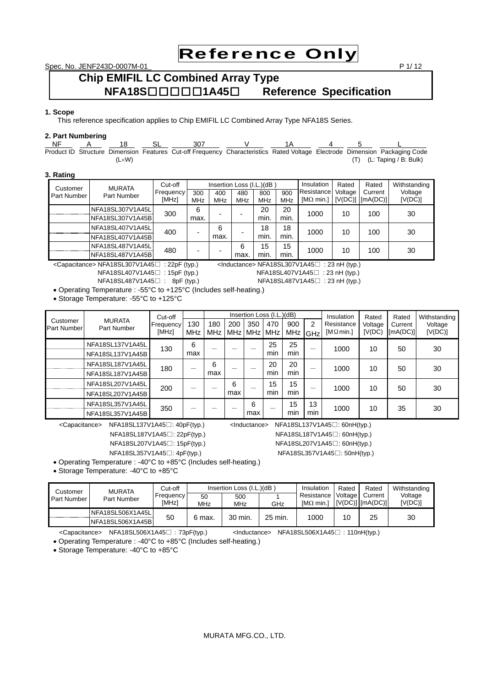Reference Only

Spec. No. JENF243D-0007M-01 P 1/ 12

# **Chip EMIFIL LC Combined Array Type NFA18S**□□□□□**1A45**□ **Reference Specification**

# **1. Scope**

This reference specification applies to Chip EMIFIL LC Combined Array Type NFA18S Series.

# **2. Part Numbering**

 NF A 18 SL 307 V 1A 4 5 L Product ID Structure Dimension Features Cut-off Frequency Characteristics Rated Voltage Electrode Dimension Packaging Code (LW) (T) (L: Taping / B: Bulk)

## **3. Rating**

| Customer    | <b>MURATA</b>    | Cut-off            | Insertion Loss (I.L.)(dB) |                   |                   |                   | Insulation        | Rated                                                       | Rated   | Withstanding |                    |
|-------------|------------------|--------------------|---------------------------|-------------------|-------------------|-------------------|-------------------|-------------------------------------------------------------|---------|--------------|--------------------|
| Part Number | Part Number      | Frequency<br>[MHz] | 300<br><b>MHz</b>         | 400<br><b>MHz</b> | 480<br><b>MHz</b> | 800<br><b>MHz</b> | 900<br><b>MHz</b> | Resistance<br>$[M\Omega \text{ min.}]$ $[V(DC)]$ $[mA(DC)]$ | Voltage | Current      | Voltage<br>[V(DC)] |
|             | NFA18SL307V1A45L |                    | 6                         |                   |                   | 20                | 20                | 1000                                                        | 10      |              |                    |
|             | NFA18SL307V1A45B | 300                | max.                      |                   | -                 | min.              | min.              |                                                             |         | 100          | 30                 |
|             | NFA18SL407V1A45L | 400                |                           | 6                 |                   | 18                | 18                | 1000                                                        | 10      | 100          | 30                 |
|             | NFA18SL407V1A45B |                    | -                         | max.              | -                 | min.              | min.              |                                                             |         |              |                    |
|             | NFA18SL487V1A45L | 480                |                           |                   | 6                 | 15                | 15                | 1000                                                        | 10      | 100          | 30                 |
|             | NFA18SL487V1A45B |                    |                           |                   | max.              | min.              | min.              |                                                             |         |              |                    |

<Capacitance> NFA18SL307V1A45□ : 22pF (typ.) <Inductance> NFA18SL307V1A45□ : 23 nH (typ.) NFA18SL407V1A45□ : 23 nH (typ.)

NFA18SL407V1A45□ : 15pF (typ.)

NFA18SL487V1A45□ : 8pF (typ.) NFA18SL487V1A45□ : 23 nH (typ.)

Operating Temperature : -55°C to +125°C (Includes self-heating.)

Storage Temperature: -55°C to +125°C

| Customer<br>Part Number | <b>MURATA</b><br>Part Number         | Cut-off<br>Frequency<br>[MHz] | 130<br><b>MHz</b> | 180<br><b>MHz</b> | 200      | 350<br>MHz   MHz   MHz | Insertion Loss (I.L.)(dB)<br>470 | 900<br>MHz | 2<br>GHz  | Insulation<br>Resistance<br>[M $\Omega$ min.] | Rated<br>Voltage<br>[V(DC)] | Rated<br>Current<br>[mA(DC)] | Withstanding<br>Voltage<br>[V(DC)] |
|-------------------------|--------------------------------------|-------------------------------|-------------------|-------------------|----------|------------------------|----------------------------------|------------|-----------|-----------------------------------------------|-----------------------------|------------------------------|------------------------------------|
|                         | NFA18SL137V1A45L<br>NFA18SL137V1A45B | 130                           | 6<br>max          |                   |          |                        | 25<br>min                        | 25<br>min  | –         | 1000                                          | 10                          | 50                           | 30                                 |
|                         | NFA18SL187V1A45L<br>NFA18SL187V1A45B | 180                           | –                 | 6<br>max          |          |                        | 20<br>min                        | 20<br>min  |           | 1000                                          | 10                          | 50                           | 30                                 |
|                         | NFA18SL207V1A45L<br>NFA18SL207V1A45B | 200                           |                   |                   | 6<br>max | –                      | 15<br>min                        | 15<br>min  |           | 1000                                          | 10                          | 50                           | 30                                 |
|                         | NFA18SL357V1A45L<br>NFA18SL357V1A45B | 350                           |                   |                   |          | 6<br>max               |                                  | 15<br>min  | 13<br>min | 1000                                          | 10                          | 35                           | 30                                 |

<Capacitance> NFA18SL137V1A45□: 40pF(typ.) <Inductance> NFA18SL137V1A45□: 60nH(typ.)

NFA18SL187V1A45□: 22pF(typ.) NFA18SL187V1A45□: 60nH(typ.)

NFA18SL207V1A45□: 15pF(typ.) NFA18SL207V1A45□: 60nH(typ.)

NFA18SL357V1A45□: 4pF(typ.) NFA18SL357V1A45□: 50nH(typ.)

Operating Temperature : -40°C to +85°C (Includes self-heating.)

Storage Temperature: -40°C to +85°C

| Customer    | <b>MURATA</b><br>Part Number | Cut-off   |            | Insertion Loss (I.L.)(dB) | Insulation | Rated                | Rated | Withstanding                             |         |
|-------------|------------------------------|-----------|------------|---------------------------|------------|----------------------|-------|------------------------------------------|---------|
| Part Number |                              | Frequency | 50         | 500                       |            | Resistance   Voltage |       | Current                                  | Voltage |
|             |                              | [MHz]     | <b>MHz</b> | MHz                       | GHz        | [MΩ min.1]           |       | $\vert$ [V(DC)] $\vert$ [mA(DC)] $\vert$ | [V(DC)] |
|             | NFA18SL506X1A45L             |           |            |                           |            |                      |       |                                          |         |
|             | NFA18SL506X1A45B             | 50        | 6 max.     | 30 min.                   | 25 min.    | 1000                 | 10    | 25                                       | 30      |

<Capacitance> NFA18SL506X1A45□:73pF(typ.) <Inductance> NFA18SL506X1A45□:110nH(typ.)

Operating Temperature : -40°C to +85°C (Includes self-heating.)

Storage Temperature: -40°C to +85°C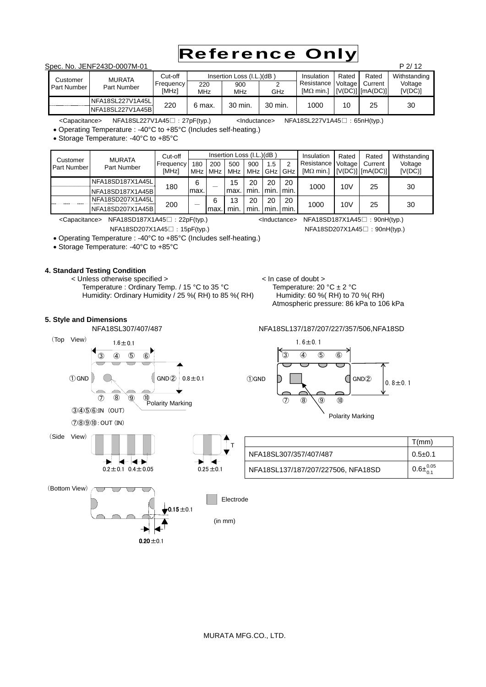

# Spec. No. JENF243D-0007M-01 **P 2/ 12** P 2/ 12

|             | 0000. TVO. ULTVI 270D 0007 IVI 0T |                  |        |                           |         |                   |         |                      | LI L         |
|-------------|-----------------------------------|------------------|--------|---------------------------|---------|-------------------|---------|----------------------|--------------|
| Customer    | <b>MURATA</b>                     | Cut-off          |        | Insertion Loss (I.L.)(dB) |         | Insulation        | Rated   | Rated                | Withstanding |
| Part Number | Part Number                       | <b>Frequency</b> | 220    | 900                       |         | Resistance        | Voltage | Current              | Voltage      |
|             |                                   | [MHz]            | MHz    | <b>MHz</b>                | GHz     | [ $M\Omega$ min.] |         | $[V(DC)]$ $[mA(DC)]$ | [V(DC)]      |
|             | NFA18SL227V1A45L                  | 220              |        | 30 min.                   | 30 min. | 1000              | 10      | 25                   | 30           |
|             | NFA18SL227V1A45B                  |                  | 6 max. |                           |         |                   |         |                      |              |

<Capacitance> NFA18SL227V1A45□:27pF(typ.) <Inductance> NFA18SL227V1A45□:65nH(typ.)

Operating Temperature : -40°C to +85°C (Includes self-heating.)

Storage Temperature: -40°C to +85°C

|                                | <b>MURATA</b><br>Part Number | Cut-off            |            |            | Insertion Loss (I.L.)(dB) |                    |       |      | Insulation                      | Rated          | Rated                           | Withstanding       |
|--------------------------------|------------------------------|--------------------|------------|------------|---------------------------|--------------------|-------|------|---------------------------------|----------------|---------------------------------|--------------------|
| Customer<br><b>Part Number</b> |                              | Frequency<br>[MHz] | 180<br>MHz | 200<br>MHz | 500<br><b>MHz</b>         | 900<br>MHz GHz GHz | 1.5   | 2    | Resistance<br>[ $M\Omega$ min.] | <b>Voltage</b> | Current<br>$[V(DC)]$ $[mA(DC)]$ | Voltage<br>[V(DC)] |
|                                | NFA18SD187X1A45L             | 180                | 6          |            | 15                        | 20                 | 20    | 20   | 1000                            | 10V            | 25                              | 30                 |
|                                | NFA18SD187X1A45B             |                    | lmax.      |            | max.                      | min.               | Imin. | min. |                                 |                |                                 |                    |
|                                | NFA18SD207X1A45L             | 200                |            | 6          | 13                        | 20                 | 20    | 20   | 1000                            | 10V            | 25                              | 30                 |
|                                | NFA18SD207X1A45B             |                    |            | max        | min.                      | min.               | min.  | min. |                                 |                |                                 |                    |

NFA18SL307/407/487 NFA18SL137/187/207/227/357/506,NFA18SD

<Capacitance> NFA18SD187X1A45□:22pF(typ.) <Inductance> NFA18SD187X1A45□:90nH(typ.)

Atmospheric pressure: 86 kPa to 106 kPa

NFA18SD207X1A45□:15pF(typ.) NFA18SD207X1A45□:90nH(typ.)

Operating Temperature : -40°C to +85°C (Includes self-heating.)

Storage Temperature: -40°C to +85°C

③ ④ ⑤ ⑥

⑦ ⑧ ⑨ ⑩

# **4. Standard Testing Condition**

< Unless otherwise specified >  $\angle$  In case of doubt >  $\angle$  Temperature : Ordinary Temp. / 15 °C to 35 °C Temperature: 20 °C ± 2 °C Temperature : Ordinary Temp. / 15 °C to 35 °C Humidity: Ordinary Humidity / 25 %( RH) to 85 %( RH) Humidity: 60 %( RH) to 70 %( RH)

 $0.20 \pm 0.1$ 

 $0.15 = 0.1$ 

| $1.6 + 0.1$                                                                                         |              |                           |                                    | $1.6 \pm 0.1$ |                                           |        |               |                       |
|-----------------------------------------------------------------------------------------------------|--------------|---------------------------|------------------------------------|---------------|-------------------------------------------|--------|---------------|-----------------------|
| $\circledS$<br>$\circled{6}$<br>④                                                                   |              |                           | $\odot$<br>$\circled{4}$           | $\circledS$   | $\circledast$                             |        |               |                       |
| GND(2)<br>$^{\circledR}$<br><sup>10</sup><br>Polarity Marking<br>$\circledS$<br>(TUO) k<br>(IN) TUC | $0.8 + 0.1$  | <b><i><u>OGND</u></i></b> | $\circledR$<br>$\circledcirc$      | $\circled{9}$ | $\circledcirc$<br><b>Polarity Marking</b> | GND(2) | $0.8 \pm 0.1$ |                       |
|                                                                                                     |              |                           |                                    |               |                                           |        |               | T(mm)                 |
|                                                                                                     |              | NFA18SL307/357/407/487    |                                    |               |                                           |        |               | $0.5 + 0.1$           |
| $0.2 \pm 0.1$ $0.4 \pm 0.05$                                                                        | $0.25 + 0.1$ |                           | NFA18SL137/187/207/227506, NFA18SD |               |                                           |        |               | $0.6\pm^{0.05}_{0.1}$ |
|                                                                                                     | Electrode    |                           |                                    |               |                                           |        |               |                       |

# **5. Style and Dimensions**

 $\bigcirc$  GND

⑦⑧⑨⑩:OUT (IN)

③④⑤⑥:IN (OUT)

(Top View)

(Bottom View)

(Side View)

(in mm)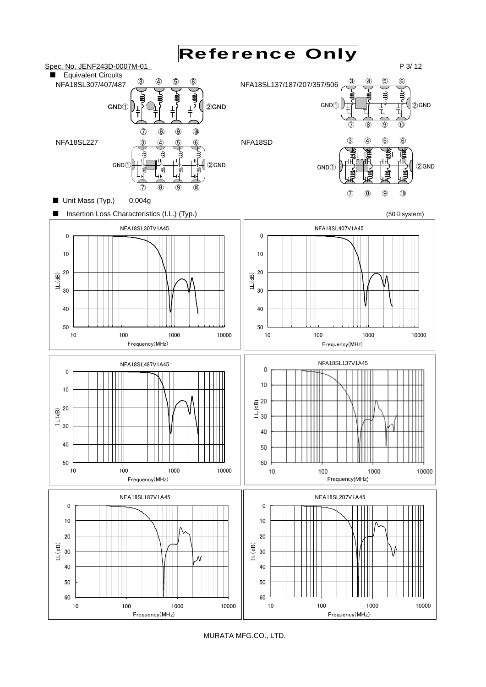

MURATA MFG.CO., LTD.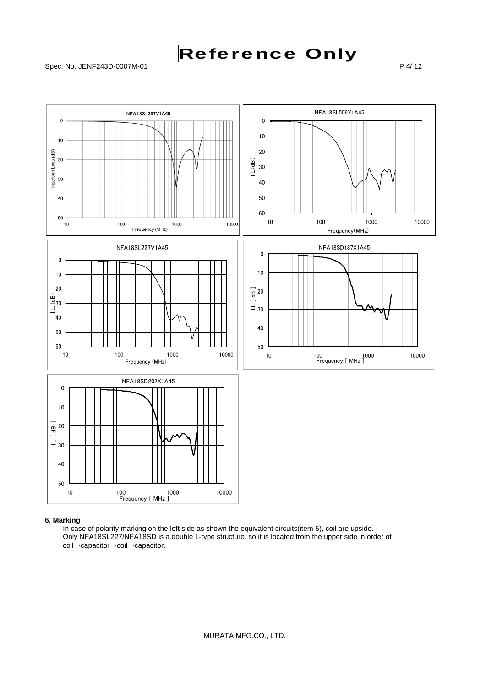



# **6. Marking**

 In case of polarity marking on the left side as shown the equivalent circuits(item 5), coil are upside. Only NFA18SL227/NFA18SD is a double L-type structure, so it is located from the upper side in order of coil→capacitor→coil→capacitor.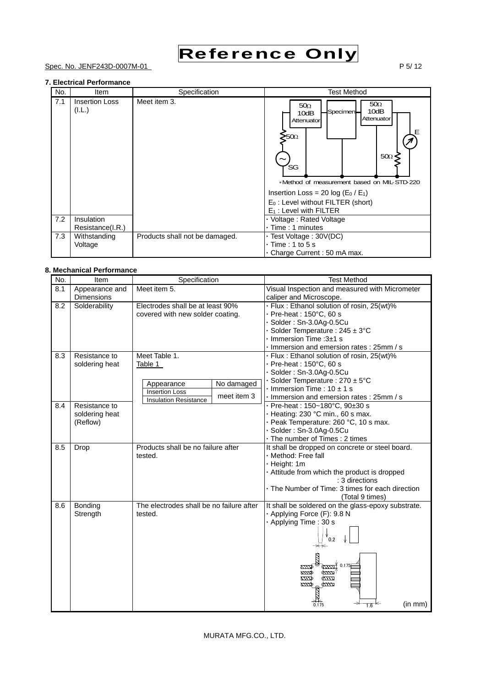

# Spec. No. JENF243D-0007M-01 P 5/ 12

# **7. Electrical Performance**

| No. | Item                            | Specification                  | <b>Test Method</b>                                                                                                                                                                                                                                                                                                       |
|-----|---------------------------------|--------------------------------|--------------------------------------------------------------------------------------------------------------------------------------------------------------------------------------------------------------------------------------------------------------------------------------------------------------------------|
| 7.1 | <b>Insertion Loss</b><br>(I.L.) | Meet item 3.                   | 50 <sub>Ω</sub><br>50 <sub>Ω</sub><br>10dB<br>Specimen-<br>10dB<br>Attenuator<br>Attenuator<br>Е<br>>50Ω<br>$50\Omega$<br>'SG<br>*Method of measurement based on MIL-STD-220<br>Insertion Loss = 20 log (E <sub>0</sub> / E <sub>1</sub> )<br>E <sub>0</sub> : Level without FILTER (short)<br>$E_1$ : Level with FILTER |
| 7.2 | Insulation<br>Resistance(I.R.)  |                                | • Voltage: Rated Voltage<br>- Time: 1 minutes                                                                                                                                                                                                                                                                            |
| 7.3 | Withstanding<br>Voltage         | Products shall not be damaged. | Test Voltage: 30V(DC)<br>$\cdot$ Time : 1 to 5 s<br>- Charge Current : 50 mA max.                                                                                                                                                                                                                                        |

# **8. Mechanical Performance**

| No. | Item                                        | Specification                                                                                                                | <b>Test Method</b>                                                                                                                                                                                                                       |
|-----|---------------------------------------------|------------------------------------------------------------------------------------------------------------------------------|------------------------------------------------------------------------------------------------------------------------------------------------------------------------------------------------------------------------------------------|
| 8.1 | Appearance and<br><b>Dimensions</b>         | Meet item 5.                                                                                                                 | Visual Inspection and measured with Micrometer<br>caliper and Microscope.                                                                                                                                                                |
| 8.2 | Solderability                               | Electrodes shall be at least 90%<br>covered with new solder coating.                                                         | - Flux: Ethanol solution of rosin, 25(wt)%<br>- Pre-heat: 150°C, 60 s<br>- Solder: Sn-3.0Ag-0.5Cu<br>- Solder Temperature : $245 \pm 3^{\circ}$ C<br>$\cdot$ Immersion Time : 3 $\pm$ 1 s<br>Immersion and emersion rates: 25mm / s      |
| 8.3 | Resistance to<br>soldering heat             | Meet Table 1.<br>Table 1<br>No damaged<br>Appearance<br><b>Insertion Loss</b><br>meet item 3<br><b>Insulation Resistance</b> | - Flux: Ethanol solution of rosin, 25(wt)%<br>$P$ re-heat: 150 $°C$ , 60 s<br>Solder: Sn-3.0Ag-0.5Cu<br>- Solder Temperature : $270 \pm 5^{\circ}$ C<br>$\cdot$ Immersion Time : 10 $\pm$ 1 s<br>Immersion and emersion rates : 25mm / s |
| 8.4 | Resistance to<br>soldering heat<br>(Reflow) |                                                                                                                              | $\cdot$ Pre-heat : 150~180°C, 90±30 s<br>- Heating: $230 °C$ min., 60 s max.<br>- Peak Temperature: 260 °C, 10 s max.<br>Solder: Sn-3.0Ag-0.5Cu<br>- The number of Times : 2 times                                                       |
| 8.5 | Drop                                        | Products shall be no failure after<br>tested.                                                                                | It shall be dropped on concrete or steel board.<br>- Method: Free fall<br>- Height: 1m<br>- Attitude from which the product is dropped<br>: 3 directions<br>• The Number of Time: 3 times for each direction<br>(Total 9 times)          |
| 8.6 | Bonding<br>Strength                         | The electrodes shall be no failure after<br>tested.                                                                          | It shall be soldered on the glass-epoxy substrate.<br>- Applying Force (F): 9.8 N<br>- Applying Time: 30 s<br>0.2<br>0.175<br><b>EXT</b><br>mд<br>(in mm)<br>1.6<br>0.175                                                                |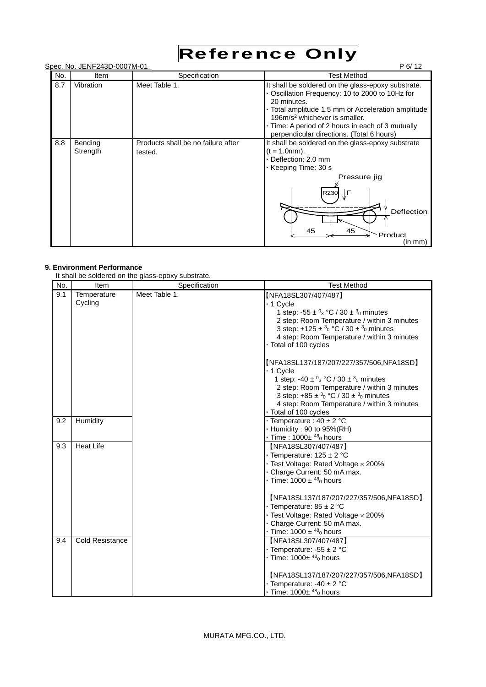

|     | Spec. No. JENF243D-0007M-01 |                                               | P 6/12                                                                                                                                                                                                                                                                                                         |
|-----|-----------------------------|-----------------------------------------------|----------------------------------------------------------------------------------------------------------------------------------------------------------------------------------------------------------------------------------------------------------------------------------------------------------------|
| No. | Item                        | Specification                                 | <b>Test Method</b>                                                                                                                                                                                                                                                                                             |
| 8.7 | Vibration                   | Meet Table 1.                                 | It shall be soldered on the glass-epoxy substrate.<br>• Oscillation Frequency: 10 to 2000 to 10Hz for<br>20 minutes.<br>- Total amplitude 1.5 mm or Acceleration amplitude<br>196 $m/s2$ whichever is smaller.<br>Time: A period of 2 hours in each of 3 mutually<br>perpendicular directions. (Total 6 hours) |
| 8.8 | Bending<br>Strength         | Products shall be no failure after<br>tested. | It shall be soldered on the glass-epoxy substrate<br>$(t = 1.0$ mm $).$<br>- Deflection: 2.0 mm<br>• Keeping Time: 30 s<br>Pressure jig<br>$\sqrt{F}$<br>R230<br>Deflection<br>45<br>45<br>Product<br>(in mm)                                                                                                  |

# **9. Environment Performance**

It shall be soldered on the glass-epoxy substrate.

| No. | Item                   | it shall be soldered on the glass-epoxy substrate.<br>Specification | <b>Test Method</b>                                                                                                                                                                                                                                                                                                                                                                         |
|-----|------------------------|---------------------------------------------------------------------|--------------------------------------------------------------------------------------------------------------------------------------------------------------------------------------------------------------------------------------------------------------------------------------------------------------------------------------------------------------------------------------------|
| 9.1 | Temperature<br>Cycling | Meet Table 1.                                                       | [NFA18SL307/407/487]<br>- 1 Cycle<br>1 step: -55 $\pm$ <sup>0</sup> <sub>3</sub> °C / 30 $\pm$ <sup>3</sup> <sub>0</sub> minutes<br>2 step: Room Temperature / within 3 minutes<br>3 step: +125 ± $3_0$ °C / 30 ± $3_0$ minutes<br>4 step: Room Temperature / within 3 minutes<br>- Total of 100 cycles                                                                                    |
|     |                        |                                                                     | [NFA18SL137/187/207/227/357/506,NFA18SD]<br>- 1 Cycle<br>1 step: -40 $\pm$ <sup>0</sup> <sub>3</sub> °C / 30 $\pm$ <sup>3</sup> <sub>0</sub> minutes<br>2 step: Room Temperature / within 3 minutes<br>3 step: +85 ± $3_0$ °C / 30 ± $3_0$ minutes<br>4 step: Room Temperature / within 3 minutes<br>- Total of 100 cycles                                                                 |
| 9.2 | Humidity               |                                                                     | - Temperature : $40 \pm 2$ °C<br>- Humidity: 90 to 95%(RH)<br>$\cdot$ Time : 1000 $\pm$ <sup>48</sup> <sub>0</sub> hours                                                                                                                                                                                                                                                                   |
| 9.3 | <b>Heat Life</b>       |                                                                     | [NFA18SL307/407/487]<br>• Temperature: $125 \pm 2$ °C<br>- Test Voltage: Rated Voltage × 200%<br>- Charge Current: 50 mA max.<br>• Time: $1000 \pm {}^{48}$ <sub>0</sub> hours<br>[NFA18SL137/187/207/227/357/506,NFA18SD]<br>- Temperature: $85 \pm 2$ °C<br>- Test Voltage: Rated Voltage $\times$ 200%<br>- Charge Current: 50 mA max.<br>• Time: $1000 \pm {}^{48}$ <sub>0</sub> hours |
| 9.4 | <b>Cold Resistance</b> |                                                                     | [NFA18SL307/407/487]<br>- Temperature: -55 $\pm$ 2 °C<br>$\cdot$ Time: 1000 $\pm$ <sup>48</sup> <sub>0</sub> hours<br>[NFA18SL137/187/207/227/357/506,NFA18SD]<br>- Temperature: -40 $\pm$ 2 °C<br>$\cdot$ Time: 1000 $\pm$ <sup>48</sup> <sub>0</sub> hours                                                                                                                               |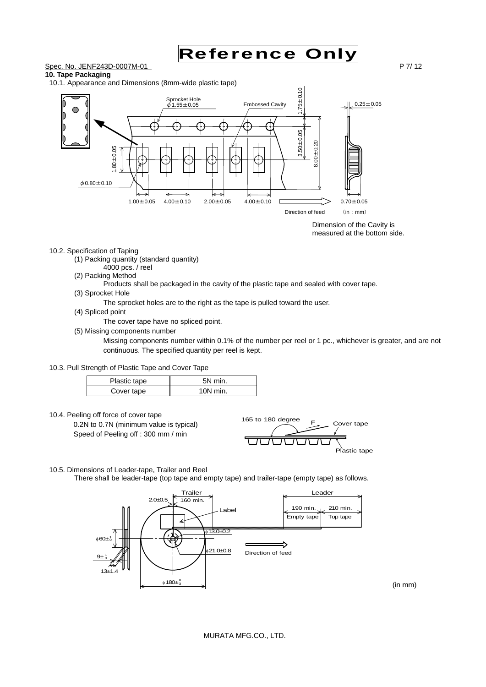

(in mm)

# **10. Tape Packaging**

10.1. Appearance and Dimensions (8mm-wide plastic tape)



Dimension of the Cavity is measured at the bottom side.

#### 10.2. Specification of Taping

- (1) Packing quantity (standard quantity)
- 4000 pcs. / reel
- (2) Packing Method
	- Products shall be packaged in the cavity of the plastic tape and sealed with cover tape.
- (3) Sprocket Hole

The sprocket holes are to the right as the tape is pulled toward the user.

- (4) Spliced point
	- The cover tape have no spliced point.
- (5) Missing components number

Missing components number within 0.1% of the number per reel or 1 pc., whichever is greater, and are not continuous. The specified quantity per reel is kept.

10.3. Pull Strength of Plastic Tape and Cover Tape

| Plastic tape | 5N min.    |
|--------------|------------|
| Cover tape   | $10N$ min. |

10.4. Peeling off force of cover tape

 0.2N to 0.7N (minimum value is typical) Speed of Peeling off : 300 mm / min



- 10.5. Dimensions of Leader-tape, Trailer and Reel
	- There shall be leader-tape (top tape and empty tape) and trailer-tape (empty tape) as follows.

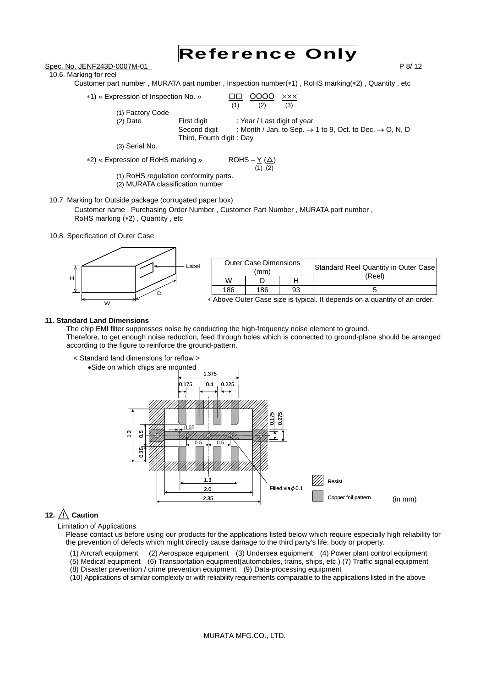

Spec. No. JENF243D-0007M-01 P 8/ 12

10.6. Marking for reel



- \*1) « Expression of Inspection No. »  $\qquad \qquad \frac{\Box \Box}{(1)} \quad \frac{\text{OOOO}}{(2)} \quad \frac{\times \times}{(3)}$  $(2)$ (1) Factory Code (2) Date First digit : Year / Last digit of year Second digit : Month / Jan. to Sep.  $\rightarrow$  1 to 9, Oct. to Dec.  $\rightarrow$  O, N, D Third, Fourth digit : Day (3) Serial No.  $*2)$  « Expression of RoHS marking » ROHS –  $Y(\triangle)$  $(1)$   $(2)$ (1) RoHS regulation conformity parts.
	- (2) MURATA classification number
- 10.7. Marking for Outside package (corrugated paper box)

Customer name , Purchasing Order Number , Customer Part Number , MURATA part number , RoHS marking (\*2), Quantity, etc

10.8. Specification of Outer Case



|     | <b>Outer Case Dimensions</b><br>(mm) |    | Standard Reel Quantity in Outer Case                                          |
|-----|--------------------------------------|----|-------------------------------------------------------------------------------|
| W   |                                      |    | (Reel)                                                                        |
| 186 | 186                                  | 93 |                                                                               |
|     |                                      |    | . Abarra Orden Ossa alus la trusta el Italiano de su a misertitri el su sudan |

Above Outer Case size is typical. It depends on a quantity of an order.

# **11. Standard Land Dimensions**

The chip EMI filter suppresses noise by conducting the high-frequency noise element to ground. Therefore, to get enough noise reduction, feed through holes which is connected to ground-plane should be arranged according to the figure to reinforce the ground-pattern.



# 12.  $\bigwedge$  Caution

Limitation of Applications

Please contact us before using our products for the applications listed below which require especially high reliability for the prevention of defects which might directly cause damage to the third party's life, body or property.

- (1) Aircraft equipment (2) Aerospace equipment (3) Undersea equipment (4) Power plant control equipment
- (5) Medical equipment (6) Transportation equipment(automobiles, trains, ships, etc.) (7) Traffic signal equipment
- (8) Disaster prevention / crime prevention equipment (9) Data-processing equipment

(10) Applications of similar complexity or with reliability requirements comparable to the applications listed in the above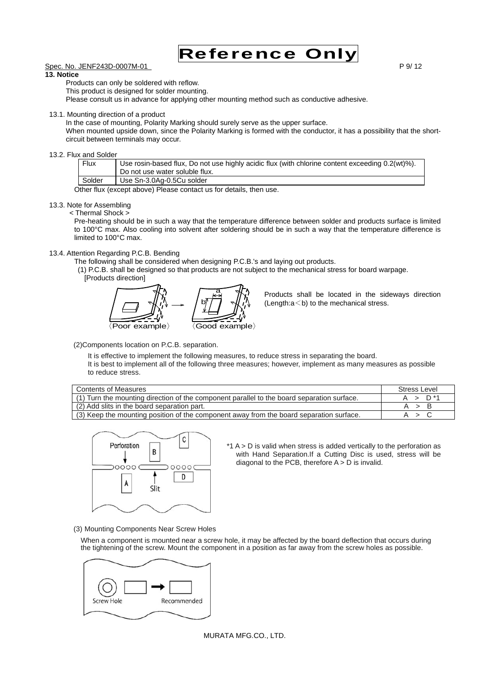

# Spec. No. JENF243D-0007M-01 **P 9/ 12** P 9/ 12

# **13. Notice**

Products can only be soldered with reflow.

This product is designed for solder mounting.

Please consult us in advance for applying other mounting method such as conductive adhesive.

13.1. Mounting direction of a product

In the case of mounting, Polarity Marking should surely serve as the upper surface.

When mounted upside down, since the Polarity Marking is formed with the conductor, it has a possibility that the shortcircuit between terminals may occur.

#### 13.2. Flux and Solder

| Flux   | Use rosin-based flux, Do not use highly acidic flux (with chlorine content exceeding 0.2(wt)%).<br>Do not use water soluble flux. |
|--------|-----------------------------------------------------------------------------------------------------------------------------------|
| Solder | Use Sn-3.0Ag-0.5Cu solder                                                                                                         |
|        |                                                                                                                                   |

Other flux (except above) Please contact us for details, then use.

# 13.3. Note for Assembling

< Thermal Shock >

Pre-heating should be in such a way that the temperature difference between solder and products surface is limited to 100°C max. Also cooling into solvent after soldering should be in such a way that the temperature difference is limited to 100°C max.

# 13.4. Attention Regarding P.C.B. Bending

The following shall be considered when designing P.C.B.'s and laying out products.

 (1) P.C.B. shall be designed so that products are not subject to the mechanical stress for board warpage. [Products direction]



Products shall be located in the sideways direction (Length: $a$ <br/>b) to the mechanical stress.

(2)Components location on P.C.B. separation.

It is effective to implement the following measures, to reduce stress in separating the board. It is best to implement all of the following three measures; however, implement as many measures as possible to reduce stress.

| <b>Contents of Measures</b>                                                                | Stress Level     |
|--------------------------------------------------------------------------------------------|------------------|
| (1) Turn the mounting direction of the component parallel to the board separation surface. | — D **<br>$\sim$ |
| (2) Add slits in the board separation part.                                                |                  |
| (3) Keep the mounting position of the component away from the board separation surface.    |                  |



\*1 A > D is valid when stress is added vertically to the perforation as with Hand Separation.If a Cutting Disc is used, stress will be diagonal to the PCB, therefore  $A > D$  is invalid.

(3) Mounting Components Near Screw Holes

When a component is mounted near a screw hole, it may be affected by the board deflection that occurs during the tightening of the screw. Mount the component in a position as far away from the screw holes as possible.



MURATA MFG.CO., LTD.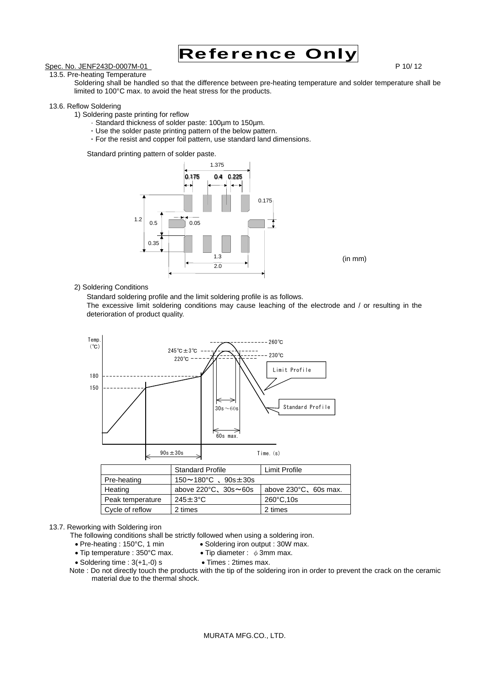

# Spec. No. JENF243D-0007M-01 P 10/ 12

13.5. Pre-heating Temperature

Soldering shall be handled so that the difference between pre-heating temperature and solder temperature shall be limited to 100°C max. to avoid the heat stress for the products.

#### 13.6. Reflow Soldering

1) Soldering paste printing for reflow

- · Standard thickness of solder paste: 100µm to 150µm.
- **·** Use the solder paste printing pattern of the below pattern.
- **·** For the resist and copper foil pattern, use standard land dimensions.

Standard printing pattern of solder paste.



## 2) Soldering Conditions

Standard soldering profile and the limit soldering profile is as follows.

The excessive limit soldering conditions may cause leaching of the electrode and / or resulting in the deterioration of product quality.



|                  | <b>Standard Profile</b>                  | Limit Profile                   |
|------------------|------------------------------------------|---------------------------------|
| Pre-heating      | $150 \sim 180^{\circ}$ C 、90s $\pm 30$ s |                                 |
| Heating          | above $220^{\circ}$ C, $30s \sim 60s$    | above $230^{\circ}$ C, 60s max. |
| Peak temperature | $245 \pm 3$ °C                           | 260°C,10s                       |
| Cycle of reflow  | 2 times                                  | 2 times                         |

#### 13.7. Reworking with Soldering iron

The following conditions shall be strictly followed when using a soldering iron.

- 
- Pre-heating : 150°C, 1 min Soldering iron output : 30W max.
- Tip temperature : 350°C max. Tip diameter :  $\phi$  3mm max.
- $\bullet$  Soldering time : 3(+1,-0) s  $\bullet$  Times : 2times max.

Note : Do not directly touch the products with the tip of the soldering iron in order to prevent the crack on the ceramic material due to the thermal shock.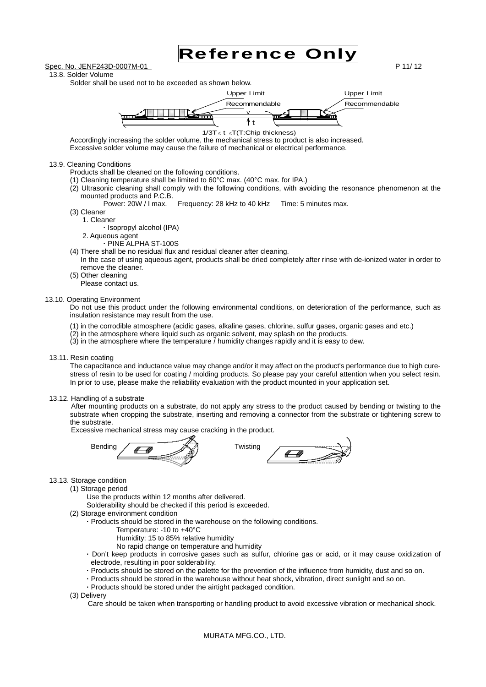

13.8. Solder Volume

Solder shall be used not to be exceeded as shown below.



 $1/3T \le t \le T(T)$ :Chip thickness)

Accordingly increasing the solder volume, the mechanical stress to product is also increased. Excessive solder volume may cause the failure of mechanical or electrical performance.

#### 13.9. Cleaning Conditions

- Products shall be cleaned on the following conditions.
- (1) Cleaning temperature shall be limited to 60°C max. (40°C max. for IPA.)
- (2) Ultrasonic cleaning shall comply with the following conditions, with avoiding the resonance phenomenon at the mounted products and P.C.B.
	- Power: 20W / I max. Frequency: 28 kHz to 40 kHz Time: 5 minutes max.
- (3) Cleaner

1. Cleaner **·** Isopropyl alcohol (IPA)

- 2. Aqueous agent
- **·** PINE ALPHA ST-100S
- (4) There shall be no residual flux and residual cleaner after cleaning.
- In the case of using aqueous agent, products shall be dried completely after rinse with de-ionized water in order to remove the cleaner.
- (5) Other cleaning
- Please contact us.

#### 13.10. Operating Environment

Do not use this product under the following environmental conditions, on deterioration of the performance, such as insulation resistance may result from the use.

- (1) in the corrodible atmosphere (acidic gases, alkaline gases, chlorine, sulfur gases, organic gases and etc.)
- (2) in the atmosphere where liquid such as organic solvent, may splash on the products.
- (3) in the atmosphere where the temperature / humidity changes rapidly and it is easy to dew.

#### 13.11. Resin coating

The capacitance and inductance value may change and/or it may affect on the product's performance due to high curestress of resin to be used for coating / molding products. So please pay your careful attention when you select resin. In prior to use, please make the reliability evaluation with the product mounted in your application set.

#### 13.12. Handling of a substrate

After mounting products on a substrate, do not apply any stress to the product caused by bending or twisting to the substrate when cropping the substrate, inserting and removing a connector from the substrate or tightening screw to the substrate.

Excessive mechanical stress may cause cracking in the product.



#### 13.13. Storage condition

(1) Storage period

Use the products within 12 months after delivered.

Solderability should be checked if this period is exceeded.

- (2) Storage environment condition
	- **·** Products should be stored in the warehouse on the following conditions.
		- Temperature: -10 to +40°C
		- Humidity: 15 to 85% relative humidity
		- No rapid change on temperature and humidity
		- **·** Don't keep products in corrosive gases such as sulfur, chlorine gas or acid, or it may cause oxidization of electrode, resulting in poor solderability.
		- **·** Products should be stored on the palette for the prevention of the influence from humidity, dust and so on.
		- **·** Products should be stored in the warehouse without heat shock, vibration, direct sunlight and so on.
		- **·** Products should be stored under the airtight packaged condition.

(3) Delivery

Care should be taken when transporting or handling product to avoid excessive vibration or mechanical shock.